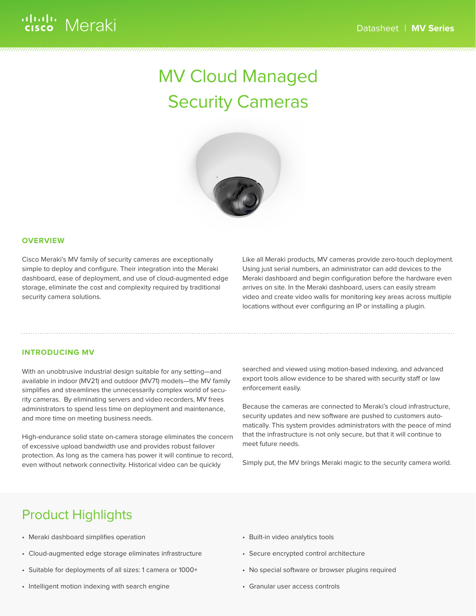# MV Cloud Managed Security Cameras



#### **OVERVIEW**

Cisco Meraki's MV family of security cameras are exceptionally simple to deploy and configure. Their integration into the Meraki dashboard, ease of deployment, and use of cloud-augmented edge storage, eliminate the cost and complexity required by traditional security camera solutions.

Like all Meraki products, MV cameras provide zero-touch deployment. Using just serial numbers, an administrator can add devices to the Meraki dashboard and begin configuration before the hardware even arrives on site. In the Meraki dashboard, users can easily stream video and create video walls for monitoring key areas across multiple locations without ever configuring an IP or installing a plugin.

#### **INTRODUCING MV**

With an unobtrusive industrial design suitable for any setting—and available in indoor (MV21) and outdoor (MV71) models—the MV family simplifies and streamlines the unnecessarily complex world of security cameras. By eliminating servers and video recorders, MV frees administrators to spend less time on deployment and maintenance, and more time on meeting business needs.

High-endurance solid state on-camera storage eliminates the concern of excessive upload bandwidth use and provides robust failover protection. As long as the camera has power it will continue to record, even without network connectivity. Historical video can be quickly

searched and viewed using motion-based indexing, and advanced export tools allow evidence to be shared with security staff or law enforcement easily.

Because the cameras are connected to Meraki's cloud infrastructure, security updates and new software are pushed to customers automatically. This system provides administrators with the peace of mind that the infrastructure is not only secure, but that it will continue to meet future needs.

Simply put, the MV brings Meraki magic to the security camera world.

### Product Highlights

- Meraki dashboard simplifies operation
- Cloud-augmented edge storage eliminates infrastructure
- Suitable for deployments of all sizes: 1 camera or 1000+
- Intelligent motion indexing with search engine
- Built-in video analytics tools
- Secure encrypted control architecture
- No special software or browser plugins required
- Granular user access controls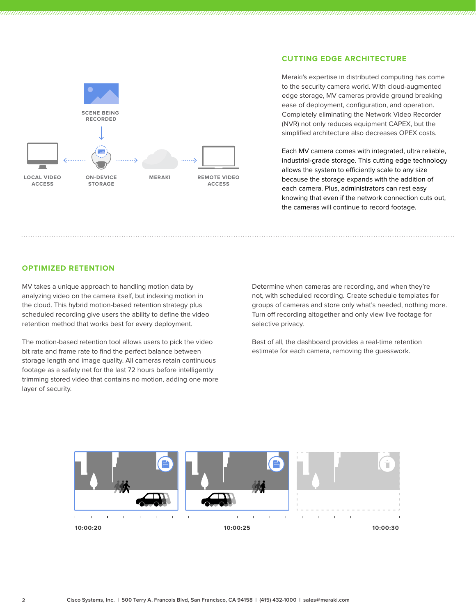

### **CUTTING EDGE ARCHITECTURE**

Meraki's expertise in distributed computing has come to the security camera world. With cloud-augmented edge storage, MV cameras provide ground breaking ease of deployment, configuration, and operation. Completely eliminating the Network Video Recorder (NVR) not only reduces equipment CAPEX, but the simplified architecture also decreases OPEX costs.

Each MV camera comes with integrated, ultra reliable, industrial-grade storage. This cutting edge technology allows the system to efficiently scale to any size because the storage expands with the addition of each camera. Plus, administrators can rest easy knowing that even if the network connection cuts out, the cameras will continue to record footage.

#### **OPTIMIZED RETENTION**

MV takes a unique approach to handling motion data by analyzing video on the camera itself, but indexing motion in the cloud. This hybrid motion-based retention strategy plus scheduled recording give users the ability to define the video retention method that works best for every deployment.

The motion-based retention tool allows users to pick the video bit rate and frame rate to find the perfect balance between storage length and image quality. All cameras retain continuous footage as a safety net for the last 72 hours before intelligently trimming stored video that contains no motion, adding one more layer of security.

Determine when cameras are recording, and when they're not, with scheduled recording. Create schedule templates for groups of cameras and store only what's needed, nothing more. Turn off recording altogether and only view live footage for selective privacy.

Best of all, the dashboard provides a real-time retention estimate for each camera, removing the guesswork.

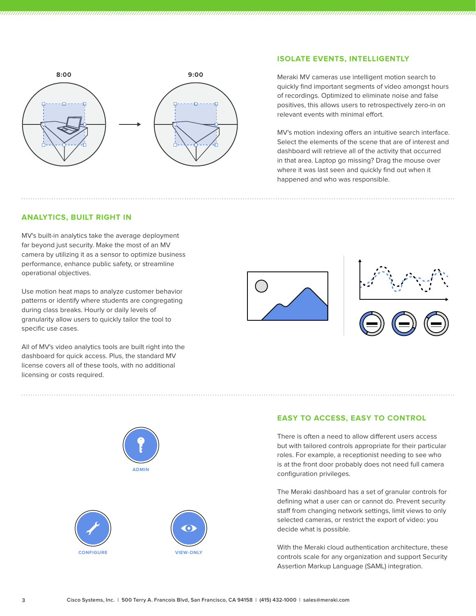

### **ISOLATE EVENTS, INTELLIGENTLY**

Meraki MV cameras use intelligent motion search to quickly find important segments of video amongst hours of recordings. Optimized to eliminate noise and false positives, this allows users to retrospectively zero-in on relevant events with minimal effort.

MV's motion indexing offers an intuitive search interface. Select the elements of the scene that are of interest and dashboard will retrieve all of the activity that occurred in that area. Laptop go missing? Drag the mouse over where it was last seen and quickly find out when it happened and who was responsible.

#### **ANALYTICS, BUILT RIGHT IN**

MV's built-in analytics take the average deployment far beyond just security. Make the most of an MV camera by utilizing it as a sensor to optimize business performance, enhance public safety, or streamline operational objectives.

Use motion heat maps to analyze customer behavior patterns or identify where students are congregating during class breaks. Hourly or daily levels of granularity allow users to quickly tailor the tool to specific use cases.

All of MV's video analytics tools are built right into the dashboard for quick access. Plus, the standard MV license covers all of these tools, with no additional licensing or costs required.







#### **EASY TO ACCESS, EASY TO CONTROL**

There is often a need to allow different users access but with tailored controls appropriate for their particular roles. For example, a receptionist needing to see who is at the front door probably does not need full camera configuration privileges.

The Meraki dashboard has a set of granular controls for defining what a user can or cannot do. Prevent security staff from changing network settings, limit views to only selected cameras, or restrict the export of video: you decide what is possible.

With the Meraki cloud authentication architecture, these controls scale for any organization and support Security Assertion Markup Language (SAML) integration.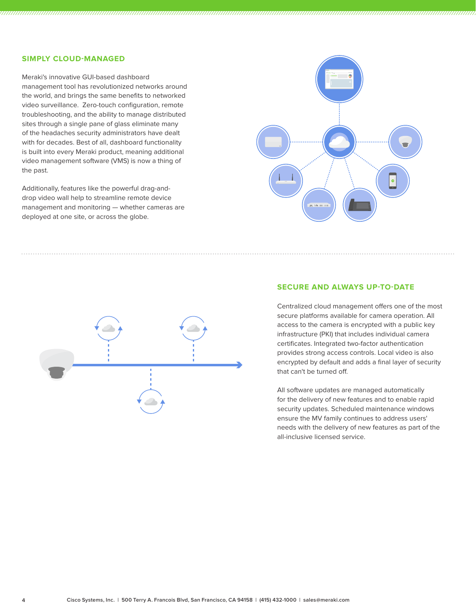#### **SIMPLY CLOUD-MANAGED**

Meraki's innovative GUI-based dashboard management tool has revolutionized networks around the world, and brings the same benefits to networked video surveillance. Zero-touch configuration, remote troubleshooting, and the ability to manage distributed sites through a single pane of glass eliminate many of the headaches security administrators have dealt with for decades. Best of all, dashboard functionality is built into every Meraki product, meaning additional video management software (VMS) is now a thing of the past.

Additionally, features like the powerful drag-anddrop video wall help to streamline remote device management and monitoring — whether cameras are deployed at one site, or across the globe.





#### **SECURE AND ALWAYS UP-TO-DATE**

Centralized cloud management offers one of the most secure platforms available for camera operation. All access to the camera is encrypted with a public key infrastructure (PKI) that includes individual camera certificates. Integrated two-factor authentication provides strong access controls. Local video is also encrypted by default and adds a final layer of security that can't be turned off.

All software updates are managed automatically for the delivery of new features and to enable rapid security updates. Scheduled maintenance windows ensure the MV family continues to address users' needs with the delivery of new features as part of the all-inclusive licensed service.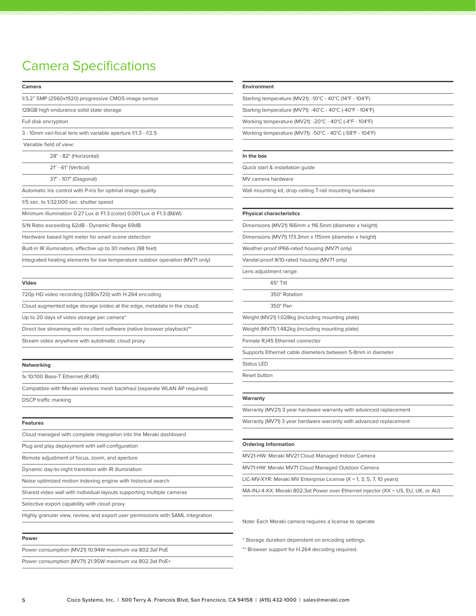# Camera Specifications

| Camera                                                                          | <b>Environment</b>                                                                |
|---------------------------------------------------------------------------------|-----------------------------------------------------------------------------------|
| 1/3.2" 5MP (2560x1920) progressive CMOS image sensor                            | Starting temperature (MV21): -10°C - 40°C (14°F - 104°F)                          |
| 128GB high endurance solid state storage                                        | Starting temperature (MV71): -40°C - 40°C (-40°F - 104°F)                         |
| Full disk encryption                                                            | Working temperature (MV21): -20°C - 40°C (-4°F - 104°F)                           |
| 3 - 10mm vari-focal lens with variable aperture f/1.3 - f/2.5                   | Working temperature (MV71): -50°C - 40°C (-58°F - 104°F)                          |
| Variable field of view:                                                         |                                                                                   |
| 28° - 82° (Horizontal)                                                          | In the box                                                                        |
| $21^\circ$ - 61 $^\circ$ (Vertical)                                             | Quick start & installation quide                                                  |
| 37° - 107° (Diagonal)                                                           | MV camera hardware                                                                |
| Automatic iris control with P-iris for optimal image quality                    | Wall mounting kit, drop ceiling T-rail mounting hardware                          |
| 1/5 sec. to 1/32,000 sec. shutter speed                                         |                                                                                   |
| Minimum illumination 0.27 Lux @ F1.3 (color) 0.001 Lux @ F1.3 (B&W)             | <b>Physical characterisitcs</b>                                                   |
| S/N Ratio exceeding 62dB - Dynamic Range 69dB                                   | Dimensions (MV21) 166mm x 116.5mm (diameter x height)                             |
| Hardware based light meter for smart scene detection                            | Dimensions (MV71) 173.3mm x 115mm (diameter x height)                             |
| Built-in IR illuminators, effective up to 30 meters (98 feet)                   | Weather-proof IP66-rated housing (MV71 only)                                      |
| Integrated heating elements for low temperature outdoor operation (MV71 only)   | Vandal-proof IK10-rated housing (MV71 only)                                       |
|                                                                                 | Lens adjustment range:                                                            |
| Video                                                                           | 65° Tilt                                                                          |
| 720p HD video recording (1280x720) with H.264 encoding                          | 350° Rotation                                                                     |
| Cloud augmented edge storage (video at the edge, metadata in the cloud)         | 350° Pan                                                                          |
| Up to 20 days of video storage per camera*                                      | Weight (MV21) 1.028kg (including mounting plate)                                  |
| Direct live streaming with no client software (native browser playback)**       | Weight (MV71) 1.482kg (including mounting plate)                                  |
| Stream video anywhere with autotmatic cloud proxy                               | Female RJ45 Ethernet connector                                                    |
|                                                                                 | Supports Ethernet cable diameters between 5-8mm in diameter                       |
| Networking                                                                      | Status LED                                                                        |
| 1x 10/100 Base-T Ethernet (RJ45)                                                | Reset button                                                                      |
| Compatible with Meraki wireless mesh backhaul (separate WLAN AP required)       |                                                                                   |
| <b>DSCP</b> traffic marking                                                     | Warranty                                                                          |
|                                                                                 | Warranty (MV21) 3 year hardware warranty with advanced replacement                |
| Features                                                                        | Warranty (MV71) 3 year hardware warranty with advanced replacement                |
| Cloud managed with complete integration into the Meraki dashboard               |                                                                                   |
| Plug and play deployment with self-configuration                                | <b>Ordering Information</b>                                                       |
| Remote adjustment of focus, zoom, and aperture                                  | MV21-HW: Meraki MV21 Cloud Managed Indoor Camera                                  |
| Dynamic day-to-night transition with IR illumination                            | MV71-HW: Meraki MV71 Cloud Managed Outdoor Camera                                 |
| Noise optimized motion indexing engine with historical search                   | LIC-MV-XYR: Meraki MV Enterprise License ( $X = 1$ , 3, 5, 7, 10 years)           |
| Shared video wall with individual layouts supporting multiple cameras           | MA-INJ-4-XX: Meraki 802.3at Power over Ethernet injector (XX = US, EU, UK, or AU) |
| Selective export capability with cloud proxy                                    |                                                                                   |
| Highly granular view, review, and export user permissions with SAML integration |                                                                                   |
|                                                                                 | Note: Each Meraki camera requires a license to operate                            |
| Power                                                                           | * Storage duration dependent on encoding settings.                                |
| Power consumption (MV21) 10.94W maximum via 802.3af PoE                         | ** Browser support for H.264 decoding required.                                   |
| Power consumption (MV71) 21.95W maximum via 802.3at PoE+                        |                                                                                   |

the contract of the contract of